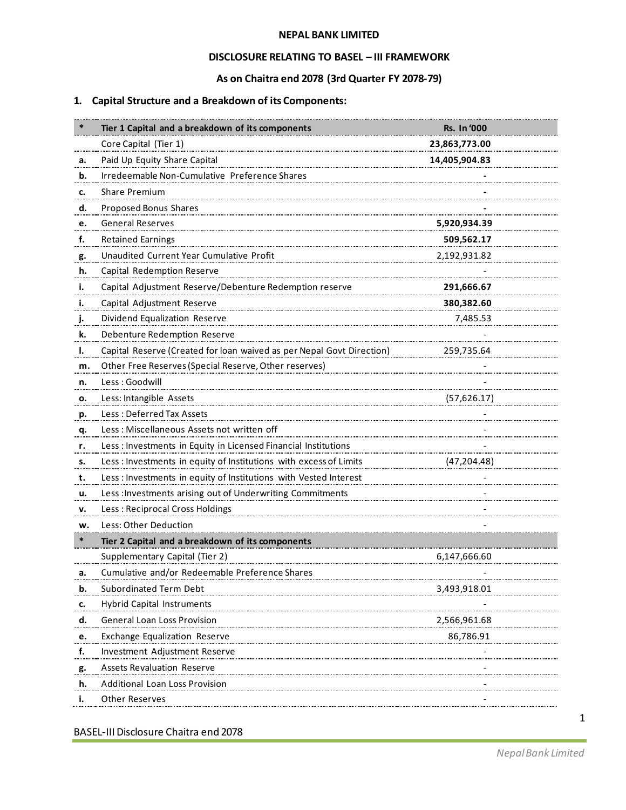#### **NEPAL BANK LIMITED**

#### **DISCLOSURE RELATING TO BASEL – III FRAMEWORK**

#### **As on Chaitra end 2078 (3rd Quarter FY 2078-79)**

# **1. Capital Structure and a Breakdown of its Components:**

|           | Tier 1 Capital and a breakdown of its components                      | <b>Rs. In '000</b> |  |
|-----------|-----------------------------------------------------------------------|--------------------|--|
|           | Core Capital (Tier 1)                                                 | 23,863,773.00      |  |
| а.        | Paid Up Equity Share Capital                                          | 14,405,904.83      |  |
| b.        | Irredeemable Non-Cumulative Preference Shares                         |                    |  |
| c.        | Share Premium                                                         |                    |  |
| d.        | Proposed Bonus Shares                                                 |                    |  |
| e.        | <b>General Reserves</b>                                               | 5,920,934.39       |  |
| f.        | <b>Retained Earnings</b>                                              | 509,562.17         |  |
| g.        | Unaudited Current Year Cumulative Profit                              | 2,192,931.82       |  |
| h.        | Capital Redemption Reserve                                            |                    |  |
| i.        | Capital Adjustment Reserve/Debenture Redemption reserve               | 291,666.67         |  |
| i.        | Capital Adjustment Reserve                                            | 380,382.60         |  |
| j.        | Dividend Equalization Reserve                                         | 7,485.53           |  |
| k.        | Debenture Redemption Reserve                                          |                    |  |
| I.        | Capital Reserve (Created for loan waived as per Nepal Govt Direction) | 259,735.64         |  |
| m.        | Other Free Reserves (Special Reserve, Other reserves)                 |                    |  |
| n.        | Less: Goodwill                                                        |                    |  |
| о.        | Less: Intangible Assets                                               | (57,626.17)        |  |
| р.        | Less: Deferred Tax Assets                                             |                    |  |
| <u>q.</u> | Less: Miscellaneous Assets not written off                            |                    |  |
| r.        | Less : Investments in Equity in Licensed Financial Institutions       |                    |  |
| s.        | Less : Investments in equity of Institutions with excess of Limits    | (47, 204.48)       |  |
| t.        | Less : Investments in equity of Institutions with Vested Interest     |                    |  |
| u.        | Less : Investments arising out of Underwriting Commitments            |                    |  |
| v.        | Less: Reciprocal Cross Holdings                                       |                    |  |
| w.        | Less: Other Deduction                                                 |                    |  |
| $\ast$    | Tier 2 Capital and a breakdown of its components                      |                    |  |
|           | Supplementary Capital (Tier 2)                                        | 6,147,666.60       |  |
| а.        | Cumulative and/or Redeemable Preference Shares                        |                    |  |
| b.        | Subordinated Term Debt                                                | 3,493,918.01       |  |
| c.        | <b>Hybrid Capital Instruments</b>                                     |                    |  |
| d.        | General Loan Loss Provision                                           | 2,566,961.68       |  |
| e.        | <b>Exchange Equalization Reserve</b>                                  | 86,786.91          |  |
| f.        | Investment Adjustment Reserve                                         |                    |  |
| g.        | <b>Assets Revaluation Reserve</b>                                     |                    |  |
| h.        | Additional Loan Loss Provision                                        |                    |  |
| i.        | Other Reserves                                                        |                    |  |

BASEL-III Disclosure Chaitra end 2078

1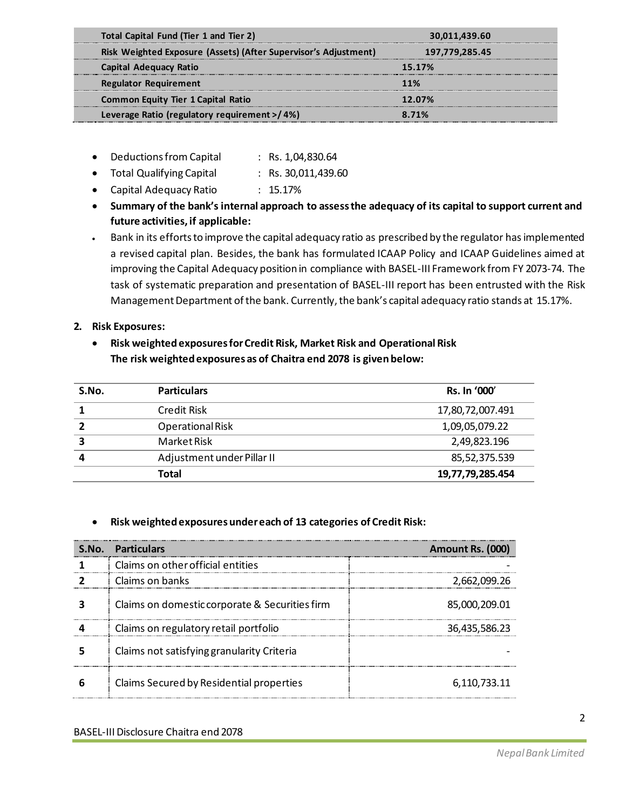| Total Capital Fund (Tier 1 and Tier 2)                          | 30,011,439.60  |  |
|-----------------------------------------------------------------|----------------|--|
| Risk Weighted Exposure (Assets) (After Supervisor's Adjustment) | 197,779,285.45 |  |
| Capital Adequacy Ratio                                          | 15.17%         |  |
| <b>Regulator Requirement</b>                                    | 11%            |  |
| <b>Common Equity Tier 1 Capital Ratio</b>                       | 12.07%         |  |
| Leverage Ratio (regulatory requirement >/4%)                    | 8.71%          |  |
|                                                                 |                |  |

- Deductions from Capital : Rs. 1,04,830.64
- Total Qualifying Capital : Rs. 30,011,439.60
- Capital Adequacy Ratio : 15.17%
- **Summary of the bank's internal approach to assessthe adequacy of its capital to support current and future activities, if applicable:**
- Bank in its efforts to improve the capital adequacy ratio as prescribed by the regulator hasimplemented a revised capital plan. Besides, the bank has formulated ICAAP Policy and ICAAP Guidelines aimed at improving the Capital Adequacy position in compliance with BASEL-III Framework from FY 2073-74. The task of systematic preparation and presentation of BASEL-III report has been entrusted with the Risk Management Department of the bank. Currently, the bank's capital adequacy ratio stands at 15.17%.

## **2. Risk Exposures:**

# • **Risk weighted exposures for Credit Risk, Market Risk and Operational Risk The risk weighted exposures as of Chaitra end 2078 is given below:**

| S.No. | <b>Particulars</b>         | <b>Rs. In '000'</b> |
|-------|----------------------------|---------------------|
|       | Credit Risk                | 17,80,72,007.491    |
|       | Operational Risk           | 1,09,05,079.22      |
| 3     | Market Risk                | 2,49,823.196        |
|       | Adjustment under Pillar II | 85,52,375.539       |
|       | Total                      | 19,77,79,285.454    |

## • **Risk weighted exposures under each of 13 categories of Credit Risk:**

| S.No. | <b>Particulars</b>                             | Amount Rs. (000) |
|-------|------------------------------------------------|------------------|
|       | Claims on other official entities              |                  |
|       | Claims on banks                                | 2,662,099.26     |
|       | Claims on domestic corporate & Securities firm | 85,000,209.01    |
|       | Claims on regulatory retail portfolio          | 36,435,586.23    |
|       | Claims not satisfying granularity Criteria     |                  |
| h     | Claims Secured by Residential properties       | 6.110.733.11     |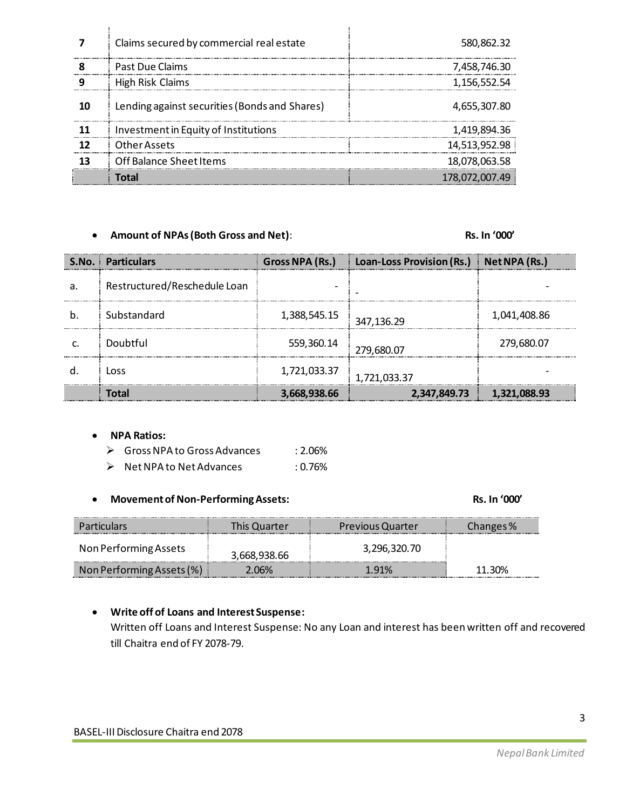|           | Claims secured by commercial real estate      | 580,862.32    |
|-----------|-----------------------------------------------|---------------|
| $\bullet$ | Past Due Claims                               | 7,458,746.30  |
|           | High Risk Claims                              | 1,156,552.54  |
| 10        | Lending against securities (Bonds and Shares) | 4,655,307.80  |
|           | Investment in Equity of Institutions          | 1,419,894.36  |
|           | Other Assets                                  | 14,513,952.98 |
|           | Off Balance Sheet Items                       | 18,078,063.58 |
|           |                                               | 178,072,00    |

#### • **Amount of NPAs (Both Gross and Net)**: **Rs. In '000'**

|   | <b>S.No. Particulars</b>     | Gross NPA (Rs.) | Loan-Loss Provision (Rs.) | $\parallel$ Net NPA (Rs.) |
|---|------------------------------|-----------------|---------------------------|---------------------------|
| a | Restructured/Reschedule Loan |                 |                           |                           |
|   | Substandard                  | 1,388,545.15    | 347,136.29                | 1,041,408.86              |
|   | Doubtful                     | 559,360.14      | 279,680.07                | 279,680.07                |
|   | Loss                         | 1,721,033.37    | 1,721,033.37              |                           |
|   | Total                        | 3,668,938.66    | 2,347,849.73              | 1,321,088.93              |

#### • **NPA Ratios:**

| $\triangleright$ Gross NPA to Gross Advances | : 2.06%    |
|----------------------------------------------|------------|
| $\triangleright$ Net NPA to Net Advances     | $: 0.76\%$ |

#### • **Movement of Non-PerformingAssets: Rs. In '000'**

| <b>Particulars</b>        | This Quarter | <b>Previous Quarter</b> | Changes % |
|---------------------------|--------------|-------------------------|-----------|
| Non Performing Assets     | 3,668,938.66 | 3,296,320.70            |           |
| Non Performing Assets (%) | 2.06%        | 1 91%                   | 11.30%    |

## • **Write off of Loans and Interest Suspense:**

Written off Loans and Interest Suspense: No any Loan and interest has been written off and recovered till Chaitra end of FY 2078-79.

3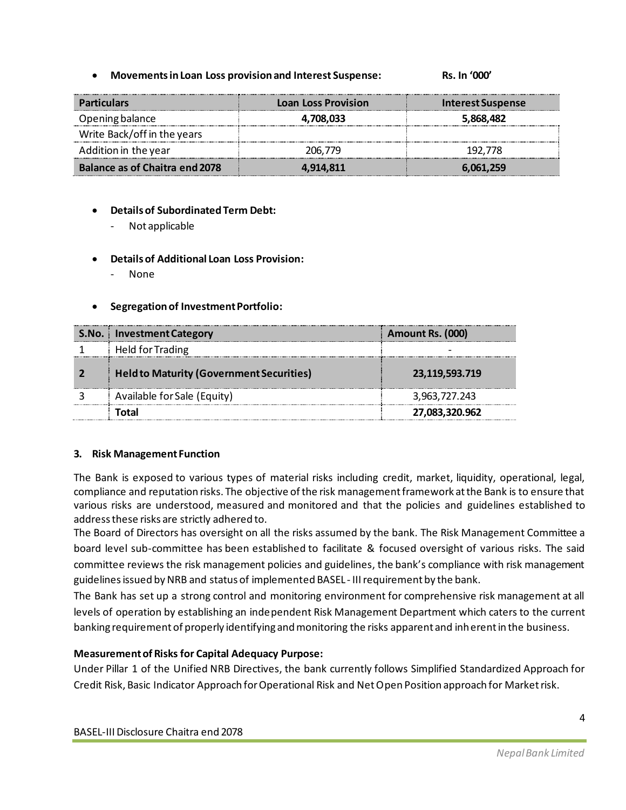• **Movements in Loan Loss provision and Interest Suspense: Rs. In '000'**

| <b>Particulars</b>                    | <b>Loan Loss Provision</b> | Interest Suspense |
|---------------------------------------|----------------------------|-------------------|
| Opening balance                       | 4,708,033                  | 5,868,482         |
| Write Back/off in the years           |                            |                   |
| Addition in the year                  | 206,779                    | 192.778           |
| <b>Balance as of Chaitra end 2078</b> | 4.914.811                  | 6.061.259         |

## • **Details of Subordinated Term Debt:**

- Not applicable

#### • **Details of Additional Loan Loss Provision:**

- None

#### • **Segregation of Investment Portfolio:**

| S.No.   Investment Category                     | Amount Rs. (000) |
|-------------------------------------------------|------------------|
| Held for Trading                                |                  |
| <b>Held to Maturity (Government Securities)</b> | 23,119,593.719   |
| Available for Sale (Equity)                     | 3,963,727.243    |
| ัดtal                                           | 27,083,320.962   |

#### **3. Risk Management Function**

The Bank is exposed to various types of material risks including credit, market, liquidity, operational, legal, compliance and reputation risks. The objective of the risk management framework at the Bank is to ensure that various risks are understood, measured and monitored and that the policies and guidelines established to address these risks are strictly adhered to.

The Board of Directors has oversight on all the risks assumed by the bank. The Risk Management Committee a board level sub-committee has been established to facilitate & focused oversight of various risks. The said committee reviews the risk management policies and guidelines, the bank's compliance with risk management guidelines issued by NRB and status of implemented BASEL - IIIrequirement by the bank.

The Bank has set up a strong control and monitoring environment for comprehensive risk management at all levels of operation by establishing an independent Risk Management Department which caters to the current banking requirement of properly identifying and monitoring the risks apparent and inherent in the business.

## **Measurement of Risks for Capital Adequacy Purpose:**

Under Pillar 1 of the Unified NRB Directives, the bank currently follows Simplified Standardized Approach for Credit Risk, Basic Indicator Approach for Operational Risk and Net Open Position approach for Market risk.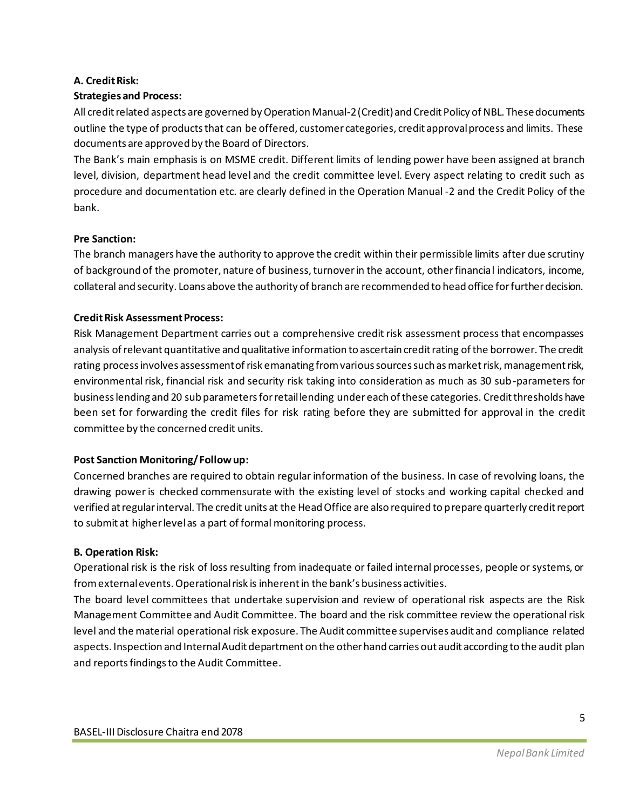# **A. Credit Risk:**

# **Strategies and Process:**

All credit related aspects are governed by Operation Manual-2 (Credit) and Credit Policy of NBL. These documents outline the type of products that can be offered, customer categories, credit approval process and limits. These documents are approved by the Board of Directors.

The Bank's main emphasis is on MSME credit. Different limits of lending power have been assigned at branch level, division, department head level and the credit committee level. Every aspect relating to credit such as procedure and documentation etc. are clearly defined in the Operation Manual -2 and the Credit Policy of the bank.

## **Pre Sanction:**

The branch managers have the authority to approve the credit within their permissible limits after due scrutiny of background of the promoter, nature of business, turnover in the account, other financial indicators, income, collateral and security. Loans above the authority of branch are recommended to head office for further decision.

# **Credit Risk Assessment Process:**

Risk Management Department carries out a comprehensive credit risk assessment process that encompasses analysis of relevant quantitative and qualitative information to ascertain credit rating of the borrower. The credit rating process involves assessment of risk emanating from various sources such as market risk, management risk, environmental risk, financial risk and security risk taking into consideration as much as 30 sub-parameters for business lending and 20 sub parameters for retail lending under each of these categories. Credit thresholds have been set for forwarding the credit files for risk rating before they are submitted for approval in the credit committee by the concerned credit units.

## **Post Sanction Monitoring/ Follow up:**

Concerned branches are required to obtain regular information of the business. In case of revolving loans, the drawing power is checked commensurate with the existing level of stocks and working capital checked and verified at regular interval. The credit units at the Head Office are also required to prepare quarterly credit report to submit at higher level as a part of formal monitoring process.

## **B. Operation Risk:**

Operational risk is the risk of loss resulting from inadequate or failed internal processes, people or systems, or from external events. Operational risk is inherent in the bank's business activities.

The board level committees that undertake supervision and review of operational risk aspects are the Risk Management Committee and Audit Committee. The board and the risk committee review the operational risk level and the material operational risk exposure. The Audit committee supervises audit and compliance related aspects. Inspection and Internal Audit department on the other hand carries out audit according to the audit plan and reports findings to the Audit Committee.